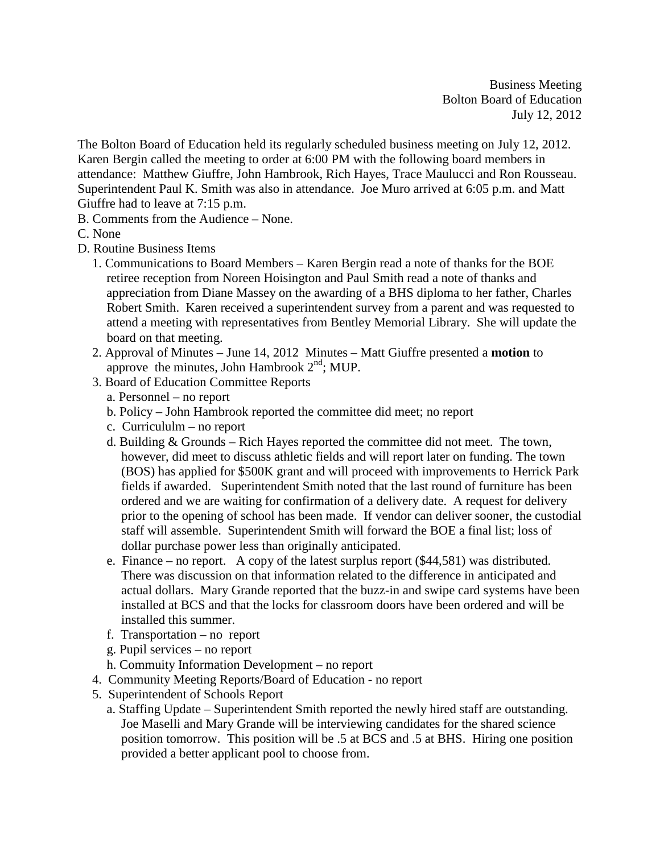Business Meeting Bolton Board of Education July 12, 2012

The Bolton Board of Education held its regularly scheduled business meeting on July 12, 2012. Karen Bergin called the meeting to order at 6:00 PM with the following board members in attendance: Matthew Giuffre, John Hambrook, Rich Hayes, Trace Maulucci and Ron Rousseau. Superintendent Paul K. Smith was also in attendance. Joe Muro arrived at 6:05 p.m. and Matt Giuffre had to leave at 7:15 p.m.

- B. Comments from the Audience None.
- C. None
- D. Routine Business Items
	- 1. Communications to Board Members Karen Bergin read a note of thanks for the BOE retiree reception from Noreen Hoisington and Paul Smith read a note of thanks and appreciation from Diane Massey on the awarding of a BHS diploma to her father, Charles Robert Smith. Karen received a superintendent survey from a parent and was requested to attend a meeting with representatives from Bentley Memorial Library. She will update the board on that meeting.
	- 2. Approval of Minutes June 14, 2012 Minutes Matt Giuffre presented a **motion** to approve the minutes, John Hambrook  $2<sup>nd</sup>$ ; MUP.
	- 3. Board of Education Committee Reports
		- a. Personnel no report
		- b. Policy John Hambrook reported the committee did meet; no report
		- c. Curricululm no report
		- d. Building & Grounds Rich Hayes reported the committee did not meet. The town, however, did meet to discuss athletic fields and will report later on funding. The town (BOS) has applied for \$500K grant and will proceed with improvements to Herrick Park fields if awarded. Superintendent Smith noted that the last round of furniture has been ordered and we are waiting for confirmation of a delivery date. A request for delivery prior to the opening of school has been made. If vendor can deliver sooner, the custodial staff will assemble. Superintendent Smith will forward the BOE a final list; loss of dollar purchase power less than originally anticipated.
		- e. Finance no report. A copy of the latest surplus report (\$44,581) was distributed. There was discussion on that information related to the difference in anticipated and actual dollars. Mary Grande reported that the buzz-in and swipe card systems have been installed at BCS and that the locks for classroom doors have been ordered and will be installed this summer.
		- f. Transportation no report
		- g. Pupil services no report
		- h. Commuity Information Development no report
	- 4. Community Meeting Reports/Board of Education no report
	- 5. Superintendent of Schools Report
		- a. Staffing Update Superintendent Smith reported the newly hired staff are outstanding. Joe Maselli and Mary Grande will be interviewing candidates for the shared science position tomorrow. This position will be .5 at BCS and .5 at BHS. Hiring one position provided a better applicant pool to choose from.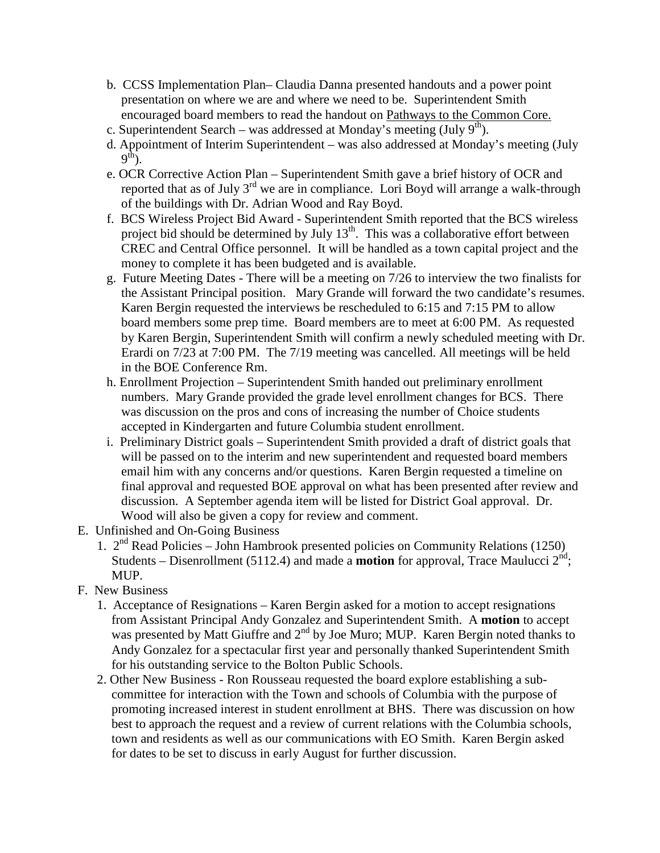- b. CCSS Implementation Plan– Claudia Danna presented handouts and a power point presentation on where we are and where we need to be. Superintendent Smith encouraged board members to read the handout on Pathways to the Common Core.
- c. Superintendent Search was addressed at Monday's meeting (July  $9<sup>th</sup>$ ).
- d. Appointment of Interim Superintendent was also addressed at Monday's meeting (July  $9<sup>th</sup>$ ).
- e. OCR Corrective Action Plan Superintendent Smith gave a brief history of OCR and reported that as of July  $3^{rd}$  we are in compliance. Lori Boyd will arrange a walk-through of the buildings with Dr. Adrian Wood and Ray Boyd.
- f. BCS Wireless Project Bid Award Superintendent Smith reported that the BCS wireless project bid should be determined by July  $13<sup>th</sup>$ . This was a collaborative effort between CREC and Central Office personnel. It will be handled as a town capital project and the money to complete it has been budgeted and is available.
- g. Future Meeting Dates There will be a meeting on 7/26 to interview the two finalists for the Assistant Principal position. Mary Grande will forward the two candidate's resumes. Karen Bergin requested the interviews be rescheduled to 6:15 and 7:15 PM to allow board members some prep time. Board members are to meet at 6:00 PM. As requested by Karen Bergin, Superintendent Smith will confirm a newly scheduled meeting with Dr. Erardi on 7/23 at 7:00 PM. The 7/19 meeting was cancelled. All meetings will be held in the BOE Conference Rm.
- h. Enrollment Projection Superintendent Smith handed out preliminary enrollment numbers. Mary Grande provided the grade level enrollment changes for BCS. There was discussion on the pros and cons of increasing the number of Choice students accepted in Kindergarten and future Columbia student enrollment.
- i. Preliminary District goals Superintendent Smith provided a draft of district goals that will be passed on to the interim and new superintendent and requested board members email him with any concerns and/or questions. Karen Bergin requested a timeline on final approval and requested BOE approval on what has been presented after review and discussion. A September agenda item will be listed for District Goal approval. Dr. Wood will also be given a copy for review and comment.
- E. Unfinished and On-Going Business
	- 1.  $2<sup>nd</sup>$  Read Policies John Hambrook presented policies on Community Relations (1250) Students – Disenrollment (5112.4) and made a **motion** for approval, Trace Maulucci  $2^{nd}$ ; MUP.
- F. New Business
	- 1. Acceptance of Resignations Karen Bergin asked for a motion to accept resignations from Assistant Principal Andy Gonzalez and Superintendent Smith. A **motion** to accept was presented by Matt Giuffre and 2<sup>nd</sup> by Joe Muro; MUP. Karen Bergin noted thanks to Andy Gonzalez for a spectacular first year and personally thanked Superintendent Smith for his outstanding service to the Bolton Public Schools.
	- 2. Other New Business Ron Rousseau requested the board explore establishing a subcommittee for interaction with the Town and schools of Columbia with the purpose of promoting increased interest in student enrollment at BHS. There was discussion on how best to approach the request and a review of current relations with the Columbia schools, town and residents as well as our communications with EO Smith. Karen Bergin asked for dates to be set to discuss in early August for further discussion.